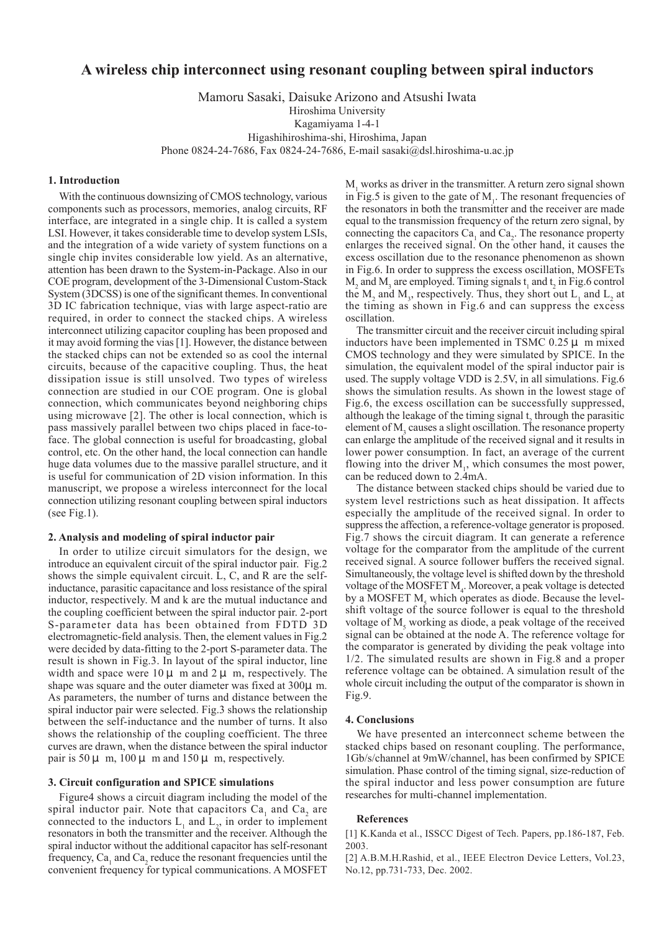# **A wireless chip interconnect using resonant coupling between spiral inductors**

Mamoru Sasaki, Daisuke Arizono and Atsushi Iwata

Hiroshima University

Kagamiyama 1-4-1

Higashihiroshima-shi, Hiroshima, Japan

Phone 0824-24-7686, Fax 0824-24-7686, E-mail sasaki@dsl.hiroshima-u.ac.jp

### **1. Introduction**

With the continuous downsizing of CMOS technology, various components such as processors, memories, analog circuits, RF interface, are integrated in a single chip. It is called a system LSI. However, it takes considerable time to develop system LSIs, and the integration of a wide variety of system functions on a single chip invites considerable low yield. As an alternative, attention has been drawn to the System-in-Package. Also in our COE program, development of the 3-Dimensional Custom-Stack System (3DCSS) is one of the significant themes. In conventional 3D IC fabrication technique, vias with large aspect-ratio are required, in order to connect the stacked chips. A wireless interconnect utilizing capacitor coupling has been proposed and it may avoid forming the vias [1]. However, the distance between the stacked chips can not be extended so as cool the internal circuits, because of the capacitive coupling. Thus, the heat dissipation issue is still unsolved. Two types of wireless connection are studied in our COE program. One is global connection, which communicates beyond neighboring chips using microwave [2]. The other is local connection, which is pass massively parallel between two chips placed in face-toface. The global connection is useful for broadcasting, global control, etc. On the other hand, the local connection can handle huge data volumes due to the massive parallel structure, and it is useful for communication of 2D vision information. In this manuscript, we propose a wireless interconnect for the local connection utilizing resonant coupling between spiral inductors (see Fig.1).

## **2. Analysis and modeling of spiral inductor pair**

In order to utilize circuit simulators for the design, we introduce an equivalent circuit of the spiral inductor pair. Fig.2 shows the simple equivalent circuit. L, C, and R are the selfinductance, parasitic capacitance and loss resistance of the spiral inductor, respectively. M and k are the mutual inductance and the coupling coefficient between the spiral inductor pair. 2-port S-parameter data has been obtained from FDTD 3D electromagnetic-field analysis. Then, the element values in Fig.2 were decided by data-fitting to the 2-port S-parameter data. The result is shown in Fig.3. In layout of the spiral inductor, line width and space were  $10 \mu$  m and  $2 \mu$  m, respectively. The shape was square and the outer diameter was fixed at 300μ m. As parameters, the number of turns and distance between the spiral inductor pair were selected. Fig.3 shows the relationship between the self-inductance and the number of turns. It also shows the relationship of the coupling coefficient. The three curves are drawn, when the distance between the spiral inductor pair is  $50 \mu$  m,  $100 \mu$  m and  $150 \mu$  m, respectively.

## **3. Circuit configuration and SPICE simulations**

Figure4 shows a circuit diagram including the model of the spiral inductor pair. Note that capacitors  $Ca<sub>1</sub>$  and  $Ca<sub>2</sub>$  are connected to the inductors  $L_1$  and  $L_2$ , in order to implement resonators in both the transmitter and the receiver. Although the spiral inductor without the additional capacitor has self-resonant frequency,  $Ca<sub>1</sub>$  and  $Ca<sub>2</sub>$  reduce the resonant frequencies until the convenient frequency for typical communications. A MOSFET

 $M<sub>1</sub>$  works as driver in the transmitter. A return zero signal shown in Fig.5 is given to the gate of  $M<sub>1</sub>$ . The resonant frequencies of the resonators in both the transmitter and the receiver are made equal to the transmission frequency of the return zero signal, by connecting the capacitors  $Ca<sub>1</sub>$  and  $Ca<sub>2</sub>$ . The resonance property enlarges the received signal. On the other hand, it causes the excess oscillation due to the resonance phenomenon as shown in Fig.6. In order to suppress the excess oscillation, MOSFETs  $M_2$  and  $M_3$  are employed. Timing signals  $t_1$  and  $t_2$  in Fig.6 control the  $M_2$  and  $M_3$ , respectively. Thus, they short out  $L_1$  and  $L_2$  at the timing as shown in Fig.6 and can suppress the excess oscillation.

The transmitter circuit and the receiver circuit including spiral inductors have been implemented in TSMC  $0.25 \mu$  m mixed CMOS technology and they were simulated by SPICE. In the simulation, the equivalent model of the spiral inductor pair is used. The supply voltage VDD is 2.5V, in all simulations. Fig.6 shows the simulation results. As shown in the lowest stage of Fig.6, the excess oscillation can be successfully suppressed, although the leakage of the timing signal  $t_2$  through the parasitic element of  $M<sub>3</sub>$  causes a slight oscillation. The resonance property can enlarge the amplitude of the received signal and it results in lower power consumption. In fact, an average of the current flowing into the driver  $M<sub>1</sub>$ , which consumes the most power, can be reduced down to 2.4mA.

The distance between stacked chips should be varied due to system level restrictions such as heat dissipation. It affects especially the amplitude of the received signal. In order to suppress the affection, a reference-voltage generator is proposed. Fig.7 shows the circuit diagram. It can generate a reference voltage for the comparator from the amplitude of the current received signal. A source follower buffers the received signal. Simultaneously, the voltage level is shifted down by the threshold voltage of the MOSFET  $M<sub>4</sub>$ . Moreover, a peak voltage is detected by a MOSFET  $M<sub>5</sub>$  which operates as diode. Because the levelshift voltage of the source follower is equal to the threshold voltage of  $M<sub>5</sub>$  working as diode, a peak voltage of the received signal can be obtained at the node A. The reference voltage for the comparator is generated by dividing the peak voltage into 1/2. The simulated results are shown in Fig.8 and a proper reference voltage can be obtained. A simulation result of the whole circuit including the output of the comparator is shown in Fig.9.

#### **4. Conclusions**

We have presented an interconnect scheme between the stacked chips based on resonant coupling. The performance, 1Gb/s/channel at 9mW/channel, has been confirmed by SPICE simulation. Phase control of the timing signal, size-reduction of the spiral inductor and less power consumption are future researches for multi-channel implementation.

### **References**

[1] K.Kanda et al., ISSCC Digest of Tech. Papers, pp.186-187, Feb. 2003.

[2] A.B.M.H.Rashid, et al., IEEE Electron Device Letters, Vol.23, No.12, pp.731-733, Dec. 2002.